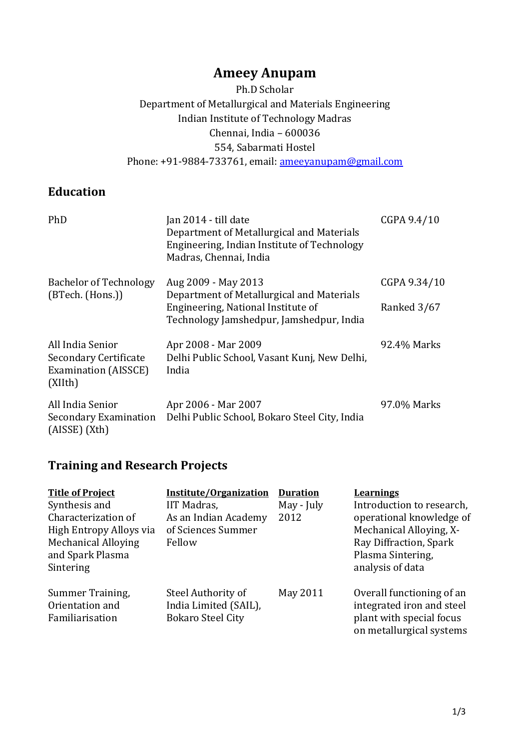# **Ameey Anupam**

Ph.D Scholar Department of Metallurgical and Materials Engineering Indian Institute of Technology Madras Chennai, India – 600036 554, Sabarmati Hostel Phone: +91-9884-733761, email: [ameeyanupam@gmail.com](mailto:ameeyanupam@gmail.com)

### **Education**

| PhD                                                                                 | Jan 2014 - till date<br>Department of Metallurgical and Materials<br>Engineering, Indian Institute of Technology<br>Madras, Chennai, India         | CGPA 9.4/10                 |
|-------------------------------------------------------------------------------------|----------------------------------------------------------------------------------------------------------------------------------------------------|-----------------------------|
| <b>Bachelor of Technology</b><br>(BTech. (Hons.))                                   | Aug 2009 - May 2013<br>Department of Metallurgical and Materials<br>Engineering, National Institute of<br>Technology Jamshedpur, Jamshedpur, India | CGPA 9.34/10<br>Ranked 3/67 |
| All India Senior<br>Secondary Certificate<br><b>Examination (AISSCE)</b><br>(XIIth) | Apr 2008 - Mar 2009<br>Delhi Public School, Vasant Kunj, New Delhi,<br>India                                                                       | 92.4% Marks                 |
| All India Senior<br>Secondary Examination<br>$(AISSE)$ $(Xth)$                      | Apr 2006 - Mar 2007<br>Delhi Public School, Bokaro Steel City, India                                                                               | 97.0% Marks                 |

# **Training and Research Projects**

| <b>Title of Project</b><br>Synthesis and<br>Characterization of<br>High Entropy Alloys via<br><b>Mechanical Alloying</b><br>and Spark Plasma<br>Sintering | Institute/Organization<br><b>IIT Madras,</b><br>As an Indian Academy<br>of Sciences Summer<br>Fellow | <b>Duration</b><br>May - July<br>2012 | <b>Learnings</b><br>Introduction to research,<br>operational knowledge of<br>Mechanical Alloying, X-<br>Ray Diffraction, Spark<br>Plasma Sintering,<br>analysis of data |
|-----------------------------------------------------------------------------------------------------------------------------------------------------------|------------------------------------------------------------------------------------------------------|---------------------------------------|-------------------------------------------------------------------------------------------------------------------------------------------------------------------------|
| Summer Training,<br>Orientation and<br>Familiarisation                                                                                                    | Steel Authority of<br>India Limited (SAIL),<br><b>Bokaro Steel City</b>                              | May 2011                              | Overall functioning of an<br>integrated iron and steel<br>plant with special focus<br>on metallurgical systems                                                          |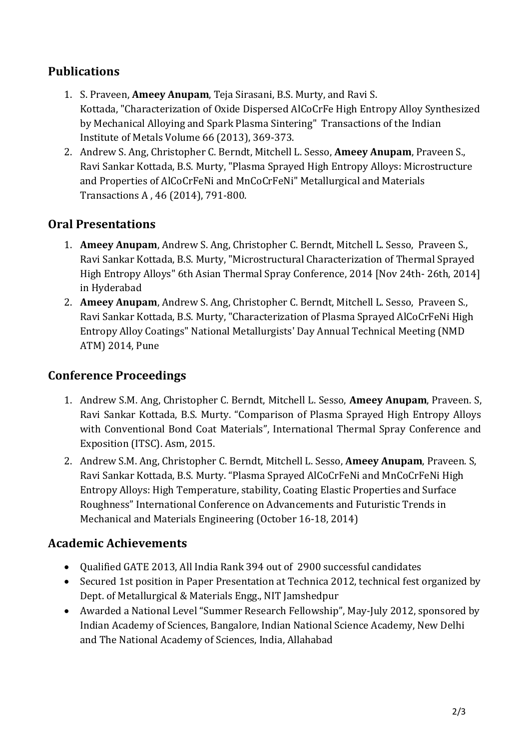## **Publications**

- 1. S. Praveen, **Ameey Anupam**, Teja Sirasani, B.S. Murty, and Ravi S. Kottada, "Characterization of Oxide Dispersed AlCoCrFe High Entropy Alloy Synthesized by Mechanical Alloying and Spark Plasma Sintering" Transactions of the Indian Institute of Metals Volume 66 (2013), 369-373.
- 2. Andrew S. Ang, Christopher C. Berndt, Mitchell L. Sesso, **Ameey Anupam**, Praveen S., Ravi Sankar Kottada, B.S. Murty, "Plasma Sprayed High Entropy Alloys: Microstructure and Properties of AlCoCrFeNi and MnCoCrFeNi" Metallurgical and Materials Transactions A , 46 (2014), 791-800.

## **Oral Presentations**

- 1. **Ameey Anupam**, Andrew S. Ang, Christopher C. Berndt, Mitchell L. Sesso, Praveen S., Ravi Sankar Kottada, B.S. Murty, "Microstructural Characterization of Thermal Sprayed High Entropy Alloys" 6th Asian Thermal Spray Conference, 2014 [Nov 24th- 26th, 2014] in Hyderabad
- 2. **Ameey Anupam**, Andrew S. Ang, Christopher C. Berndt, Mitchell L. Sesso, Praveen S., Ravi Sankar Kottada, B.S. Murty, "Characterization of Plasma Sprayed AlCoCrFeNi High Entropy Alloy Coatings" National Metallurgists' Day Annual Technical Meeting (NMD ATM) 2014, Pune

### **Conference Proceedings**

- 1. Andrew S.M. Ang, Christopher C. Berndt, Mitchell L. Sesso, **Ameey Anupam**, Praveen. S, Ravi Sankar Kottada, B.S. Murty. "Comparison of Plasma Sprayed High Entropy Alloys with Conventional Bond Coat Materials", International Thermal Spray Conference and Exposition (ITSC). Asm, 2015.
- 2. Andrew S.M. Ang, Christopher C. Berndt, Mitchell L. Sesso, **Ameey Anupam**, Praveen. S, Ravi Sankar Kottada, B.S. Murty. "Plasma Sprayed AlCoCrFeNi and MnCoCrFeNi High Entropy Alloys: High Temperature, stability, Coating Elastic Properties and Surface Roughness" International Conference on Advancements and Futuristic Trends in Mechanical and Materials Engineering (October 16-18, 2014)

### **Academic Achievements**

- Qualified GATE 2013, All India Rank 394 out of 2900 successful candidates
- Secured 1st position in Paper Presentation at Technica 2012, technical fest organized by Dept. of Metallurgical & Materials Engg., NIT Jamshedpur
- Awarded a National Level "Summer Research Fellowship", May-July 2012, sponsored by Indian Academy of Sciences, Bangalore, Indian National Science Academy, New Delhi and The National Academy of Sciences, India, Allahabad